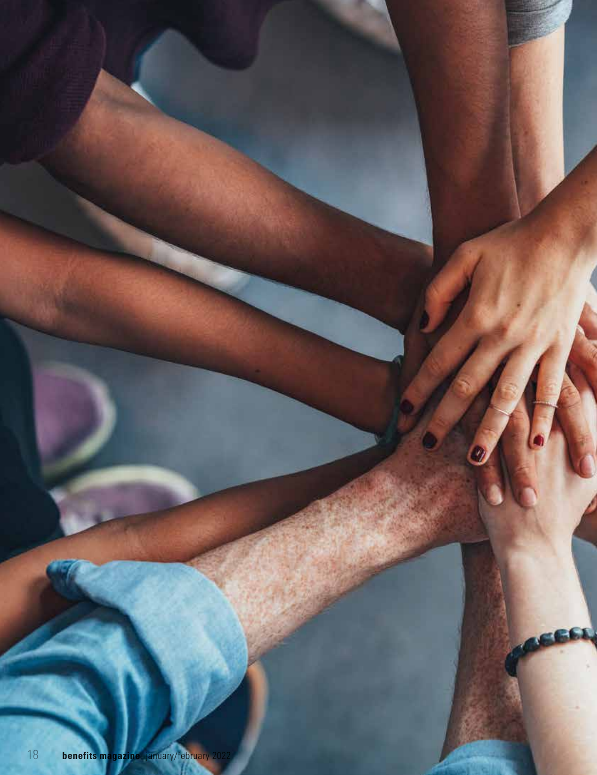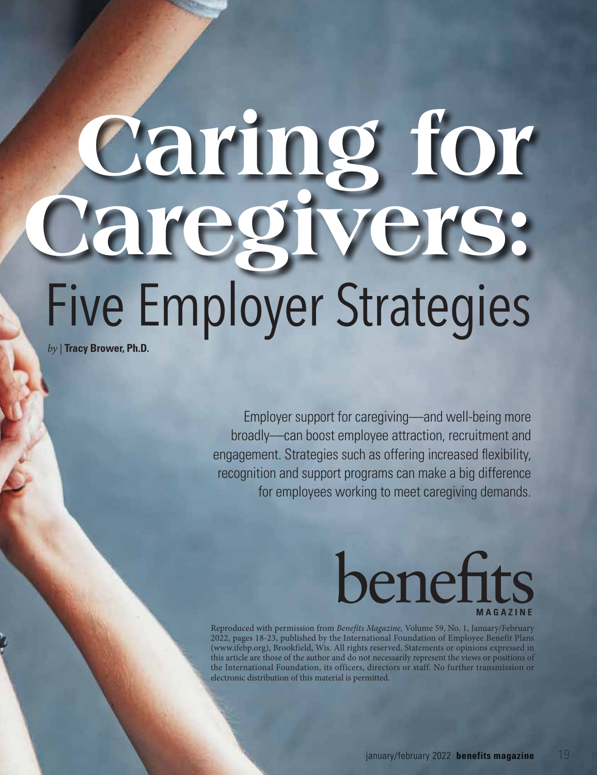# **Caring for Caregivers:**  Five Employer Strategies

*by |* **Tracy Brower, Ph.D.**

Employer support for caregiving—and well-being more broadly—can boost employee attraction, recruitment and engagement. Strategies such as offering increased flexibility, recognition and support programs can make a big difference for employees working to meet caregiving demands.

# benefits **MAGAZINE**

Reproduced with permission from *Benefits Magazine,* Volume 59, No. 1, January/February 2022, pages 18-23, published by the International Foundation of Employee Benefit Plans (www.ifebp.org), Brookfield, Wis. All rights reserved. Statements or opinions expressed in this article are those of the author and do not necessarily represent the views or positions of the International Foundation, its officers, directors or staff. No further transmission or electronic distribution of this material is permitted.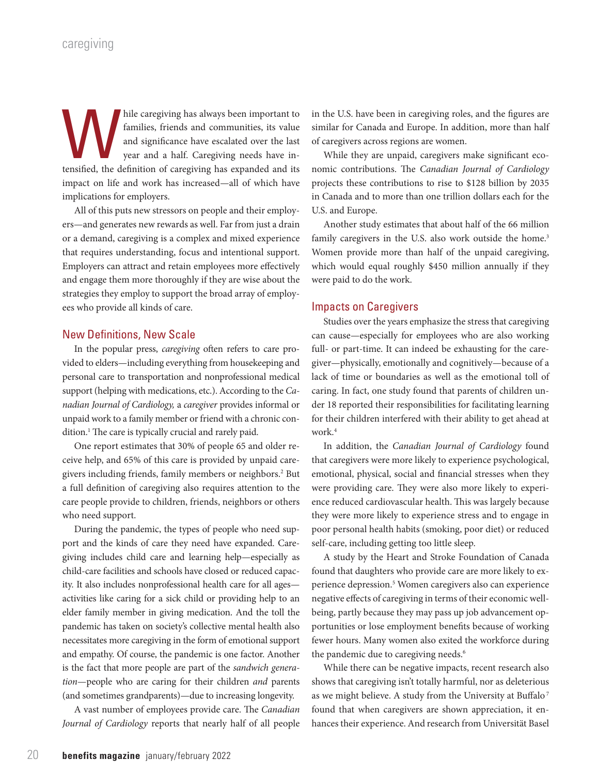hile caregiving has always been important to families, friends and communities, its value and significance have escalated over the last year and a half. Caregiving needs have intensified, the definition of caregiving has e families, friends and communities, its value and significance have escalated over the last year and a half. Caregiving needs have inimpact on life and work has increased—all of which have implications for employers.

All of this puts new stressors on people and their employers—and generates new rewards as well. Far from just a drain or a demand, caregiving is a complex and mixed experience that requires understanding, focus and intentional support. Employers can attract and retain employees more effectively and engage them more thoroughly if they are wise about the strategies they employ to support the broad array of employees who provide all kinds of care.

## New Definitions, New Scale

In the popular press, *caregiving* often refers to care provided to elders—including everything from housekeeping and personal care to transportation and nonprofessional medical support (helping with medications, etc.). According to the *Canadian Journal of Cardiology,* a *caregiver* provides informal or unpaid work to a family member or friend with a chronic condition.<sup>1</sup> The care is typically crucial and rarely paid.

One report estimates that 30% of people 65 and older receive help, and 65% of this care is provided by unpaid caregivers including friends, family members or neighbors.2 But a full definition of caregiving also requires attention to the care people provide to children, friends, neighbors or others who need support.

During the pandemic, the types of people who need support and the kinds of care they need have expanded. Caregiving includes child care and learning help—especially as child-care facilities and schools have closed or reduced capacity. It also includes nonprofessional health care for all ages activities like caring for a sick child or providing help to an elder family member in giving medication. And the toll the pandemic has taken on society's collective mental health also necessitates more caregiving in the form of emotional support and empathy. Of course, the pandemic is one factor. Another is the fact that more people are part of the *sandwich generation*—people who are caring for their children *and* parents (and sometimes grandparents)—due to increasing longevity.

A vast number of employees provide care. The *Canadian Journal of Cardiology* reports that nearly half of all people in the U.S. have been in caregiving roles, and the figures are similar for Canada and Europe. In addition, more than half of caregivers across regions are women.

While they are unpaid, caregivers make significant economic contributions. The *Canadian Journal of Cardiology*  projects these contributions to rise to \$128 billion by 2035 in Canada and to more than one trillion dollars each for the U.S. and Europe.

Another study estimates that about half of the 66 million family caregivers in the U.S. also work outside the home.<sup>3</sup> Women provide more than half of the unpaid caregiving, which would equal roughly \$450 million annually if they were paid to do the work.

## Impacts on Caregivers

Studies over the years emphasize the stress that caregiving can cause—especially for employees who are also working full- or part-time. It can indeed be exhausting for the caregiver—physically, emotionally and cognitively—because of a lack of time or boundaries as well as the emotional toll of caring. In fact, one study found that parents of children under 18 reported their responsibilities for facilitating learning for their children interfered with their ability to get ahead at work.<sup>4</sup>

In addition, the *Canadian Journal of Cardiology* found that caregivers were more likely to experience psychological, emotional, physical, social and financial stresses when they were providing care. They were also more likely to experience reduced cardiovascular health. This was largely because they were more likely to experience stress and to engage in poor personal health habits (smoking, poor diet) or reduced self-care, including getting too little sleep.

A study by the Heart and Stroke Foundation of Canada found that daughters who provide care are more likely to experience depression.<sup>5</sup> Women caregivers also can experience negative effects of caregiving in terms of their economic wellbeing, partly because they may pass up job advancement opportunities or lose employment benefits because of working fewer hours. Many women also exited the workforce during the pandemic due to caregiving needs.<sup>6</sup>

While there can be negative impacts, recent research also shows that caregiving isn't totally harmful, nor as deleterious as we might believe. A study from the University at Buffalo<sup>7</sup> found that when caregivers are shown appreciation, it enhances their experience. And research from Universität Basel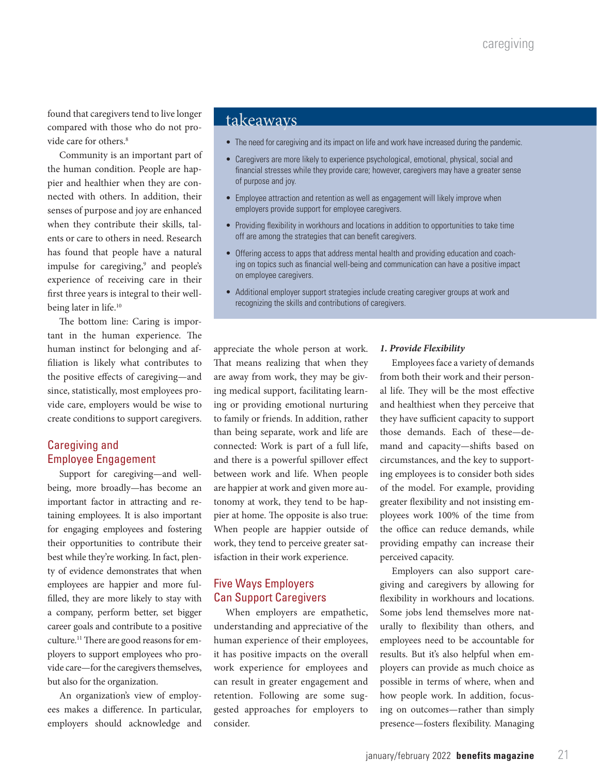found that caregivers tend to live longer compared with those who do not provide care for others.<sup>8</sup>

Community is an important part of the human condition. People are happier and healthier when they are connected with others. In addition, their senses of purpose and joy are enhanced when they contribute their skills, talents or care to others in need. Research has found that people have a natural impulse for caregiving,<sup>9</sup> and people's experience of receiving care in their first three years is integral to their wellbeing later in life.<sup>10</sup>

The bottom line: Caring is important in the human experience. The human instinct for belonging and affiliation is likely what contributes to the positive effects of caregiving—and since, statistically, most employees provide care, employers would be wise to create conditions to support caregivers.

# Caregiving and Employee Engagement

Support for caregiving—and wellbeing, more broadly—has become an important factor in attracting and retaining employees. It is also important for engaging employees and fostering their opportunities to contribute their best while they're working. In fact, plenty of evidence demonstrates that when employees are happier and more fulfilled, they are more likely to stay with a company, perform better, set bigger career goals and contribute to a positive culture.<sup>11</sup> There are good reasons for employers to support employees who provide care—for the caregivers themselves, but also for the organization.

An organization's view of employees makes a difference. In particular, employers should acknowledge and

# takeaways

- The need for caregiving and its impact on life and work have increased during the pandemic.
- Caregivers are more likely to experience psychological, emotional, physical, social and financial stresses while they provide care; however, caregivers may have a greater sense of purpose and joy.
- Employee attraction and retention as well as engagement will likely improve when employers provide support for employee caregivers.
- Providing flexibility in workhours and locations in addition to opportunities to take time off are among the strategies that can benefit caregivers.
- Offering access to apps that address mental health and providing education and coaching on topics such as financial well-being and communication can have a positive impact on employee caregivers.
- Additional employer support strategies include creating caregiver groups at work and recognizing the skills and contributions of caregivers.

appreciate the whole person at work. That means realizing that when they are away from work, they may be giving medical support, facilitating learning or providing emotional nurturing to family or friends. In addition, rather than being separate, work and life are connected: Work is part of a full life, and there is a powerful spillover effect between work and life. When people are happier at work and given more autonomy at work, they tend to be happier at home. The opposite is also true: When people are happier outside of work, they tend to perceive greater satisfaction in their work experience.

# Five Ways Employers Can Support Caregivers

When employers are empathetic, understanding and appreciative of the human experience of their employees, it has positive impacts on the overall work experience for employees and can result in greater engagement and retention. Following are some suggested approaches for employers to consider.

#### *1. Provide Flexibility*

Employees face a variety of demands from both their work and their personal life. They will be the most effective and healthiest when they perceive that they have sufficient capacity to support those demands. Each of these—demand and capacity—shifts based on circumstances, and the key to supporting employees is to consider both sides of the model. For example, providing greater flexibility and not insisting employees work 100% of the time from the office can reduce demands, while providing empathy can increase their perceived capacity.

Employers can also support caregiving and caregivers by allowing for flexibility in workhours and locations. Some jobs lend themselves more naturally to flexibility than others, and employees need to be accountable for results. But it's also helpful when employers can provide as much choice as possible in terms of where, when and how people work. In addition, focusing on outcomes—rather than simply presence—fosters flexibility. Managing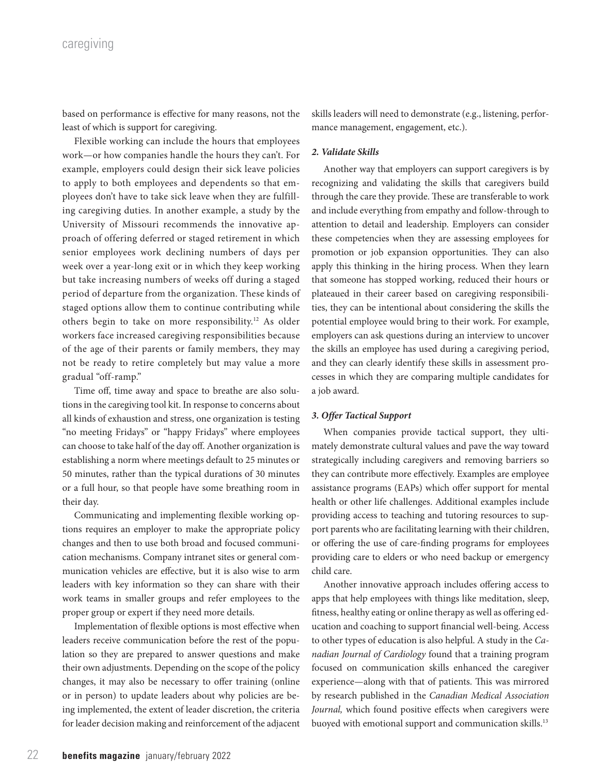based on performance is effective for many reasons, not the least of which is support for caregiving.

Flexible working can include the hours that employees work—or how companies handle the hours they can't. For example, employers could design their sick leave policies to apply to both employees and dependents so that employees don't have to take sick leave when they are fulfilling caregiving duties. In another example, a study by the University of Missouri recommends the innovative approach of offering deferred or staged retirement in which senior employees work declining numbers of days per week over a year-long exit or in which they keep working but take increasing numbers of weeks off during a staged period of departure from the organization. These kinds of staged options allow them to continue contributing while others begin to take on more responsibility.12 As older workers face increased caregiving responsibilities because of the age of their parents or family members, they may not be ready to retire completely but may value a more gradual "off-ramp."

Time off, time away and space to breathe are also solutions in the caregiving tool kit. In response to concerns about all kinds of exhaustion and stress, one organization is testing "no meeting Fridays" or "happy Fridays" where employees can choose to take half of the day off. Another organization is establishing a norm where meetings default to 25 minutes or 50 minutes, rather than the typical durations of 30 minutes or a full hour, so that people have some breathing room in their day.

Communicating and implementing flexible working options requires an employer to make the appropriate policy changes and then to use both broad and focused communication mechanisms. Company intranet sites or general communication vehicles are effective, but it is also wise to arm leaders with key information so they can share with their work teams in smaller groups and refer employees to the proper group or expert if they need more details.

Implementation of flexible options is most effective when leaders receive communication before the rest of the population so they are prepared to answer questions and make their own adjustments. Depending on the scope of the policy changes, it may also be necessary to offer training (online or in person) to update leaders about why policies are being implemented, the extent of leader discretion, the criteria for leader decision making and reinforcement of the adjacent

skills leaders will need to demonstrate (e.g., listening, performance management, engagement, etc.).

#### *2. Validate Skills*

Another way that employers can support caregivers is by recognizing and validating the skills that caregivers build through the care they provide. These are transferable to work and include everything from empathy and follow-through to attention to detail and leadership. Employers can consider these competencies when they are assessing employees for promotion or job expansion opportunities. They can also apply this thinking in the hiring process. When they learn that someone has stopped working, reduced their hours or plateaued in their career based on caregiving responsibilities, they can be intentional about considering the skills the potential employee would bring to their work. For example, employers can ask questions during an interview to uncover the skills an employee has used during a caregiving period, and they can clearly identify these skills in assessment processes in which they are comparing multiple candidates for a job award.

#### *3. Offer Tactical Support*

When companies provide tactical support, they ultimately demonstrate cultural values and pave the way toward strategically including caregivers and removing barriers so they can contribute more effectively. Examples are employee assistance programs (EAPs) which offer support for mental health or other life challenges. Additional examples include providing access to teaching and tutoring resources to support parents who are facilitating learning with their children, or offering the use of care-finding programs for employees providing care to elders or who need backup or emergency child care.

Another innovative approach includes offering access to apps that help employees with things like meditation, sleep, fitness, healthy eating or online therapy as well as offering education and coaching to support financial well-being. Access to other types of education is also helpful. A study in the *Canadian Journal of Cardiology* found that a training program focused on communication skills enhanced the caregiver experience—along with that of patients. This was mirrored by research published in the *Canadian Medical Association Journal,* which found positive effects when caregivers were buoyed with emotional support and communication skills.<sup>13</sup>